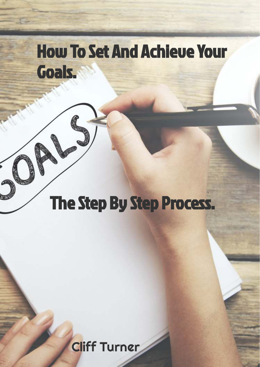

# The Step By Step Process.

# Cliff Turner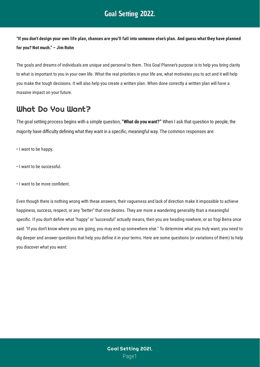**"If you don't design your own life plan, chances are you'll fall into someone else's plan. And guess what they have planned for you? Not much." – Jim Rohn**

The goals and dreams of individuals are unique and personal to them. This Goal Planner's purpose is to help you bring clarity to what is important to you in your own life. What the real priorities in your life are, what motivates you to act and it will help you make the tough decisions. It will also help you create a written plan. When done correctly a written plan will have a massive impact on your future.

#### What Do You Want?

The goal setting process begins with a simple question, **"What do you want?"** When I ask that question to people, the majority have difficulty defining what they want in a specific, meaningful way. The common responses are:

- I want to be happy.
- I want to be successful.
- $\cdot$  I want to be more confident.

Even though there is nothing wrong with these answers, their vagueness and lack of direction make it impossible to achieve happiness, success, respect, or any "better" that one desires. They are more a wandering generality than a meaningful specific. If you don't define what "happy" or "successful" actually means, then you are heading nowhere, or as Yogi Berra once said: "If you don't know where you are going, you may end up somewhere else." To determine what you truly want, you need to dig deeper and answer questions that help you define it in your terms. Here are some questions (or variations of them) to help you discover what you want: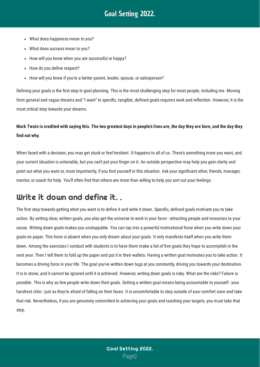- What does happiness mean to you?
- What does success mean to you?
- How will you know when you are successful or happy?
- How do you define respect?
- How will you know if you're a better parent, leader, spouse, or salesperson?

Defining your goals is the first step in goal planning. This is the most challenging step for most people, including me. Moving from general and vague dreams and "I want" to specific, tangible, defined goals requires work and reflection. However, it is the most critical step towards your dreams.

#### **Mark Twain is credited with saying this. The two greatest days in people's lives are, the day they are born, and the day they** find out why.

When faced with a decision, you may get stuck or feel hesitant. It happens to all of us. There's something more you want, and your current situation is untenable, but you can't put your finger on it. An outside perspective may help you gain clarity and point out what you want or, most importantly, if you find yourself in this situation. Ask your significant other, friends, manager, mentor, or coach for help. You'll often find that others are more than willing to help you sort out your feelings.

## Write it down and define it. .

The first step towards getting what you want is to define it and write it down. Specific, defined goals motivate you to take action. By setting clear, written goals, you also get the universe to work in your favor - attracting people and resources to your cause. Writing down goals makes you unstoppable. You can tap into a powerful motivational force when you write down your goals on paper. This force is absent when you only dream about your goals. It only manifests itself when you write them down. Among the exercises I conduct with students is to have them make a list of five goals they hope to accomplish in the next year. Then I tell them to fold up the paper and put it in their wallets. Having a written goal motivates you to take action. It becomes a driving force in your life. The goal you've written down tugs at you constantly, driving you towards your destination. It is in stone, and it cannot be ignored until it is achieved. However, writing down goals is risky. What are the risks? Failure is possible. This is why so few people write down their goals. Setting a written goal means being accountable to yourself - your harshest critic - just as they're afraid of falling on their faces. It is uncomfortable to step outside of your comfort zone and take that risk. Nevertheless, if you are genuinely committed to achieving your goals and reaching your targets, you must take that step.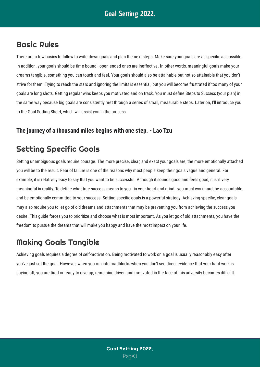#### Basic Rules

There are a few basics to follow to write down goals and plan the next steps. Make sure your goals are as specific as possible. In addition, your goals should be time-bound - open-ended ones are ineffective. In other words, meaningful goals make your dreams tangible, something you can touch and feel. Your goals should also be attainable but not so attainable that you don't strive for them. Trying to reach the stars and ignoring the limits is essential, but you will become frustrated if too many of your goals are long shots. Getting regular wins keeps you motivated and on track. You must define Steps to Success (your plan) in the same way because big goals are consistently met through a series of small, measurable steps. Later on, I'll introduce you to the Goal Setting Sheet, which will assist you in the process.

#### **The journey of a thousand miles begins with one step. - Lao Tzu**

## Setting Specific Goals

Setting unambiguous goals require courage. The more precise, clear, and exact your goals are, the more emotionally attached you will be to the result. Fear of failure is one of the reasons why most people keep their goals vague and general. For example, it is relatively easy to say that you want to be successful. Although it sounds good and feels good, it isn't very meaningful in reality. To define what true success means to you - in your heart and mind - you must work hard, be accountable, and be emotionally committed to your success. Setting specific goals is a powerful strategy. Achieving specific, clear goals may also require you to let go of old dreams and attachments that may be preventing you from achieving the success you desire. This guide forces you to prioritize and choose what is most important. As you let go of old attachments, you have the freedom to pursue the dreams that will make you happy and have the most impact on your life.

## Making Goals Tangible

Achieving goals requires a degree of self-motivation. Being motivated to work on a goal is usually reasonably easy after you've just set the goal. However, when you run into roadblocks when you don't see direct evidence that your hard work is paying off, you are tired or ready to give up, remaining driven and motivated in the face of this adversity becomes difficult.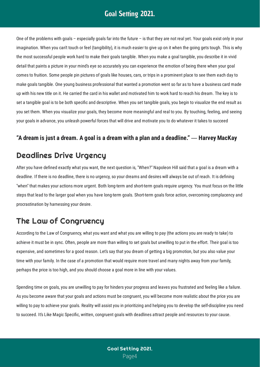One of the problems with goals – especially goals far into the future – is that they are not real yet. Your goals exist only in your imagination. When you can't touch or feel (tangibility), it is much easier to give up on it when the going gets tough. This is why the most successful people work hard to make their goals tangible. When you make a goal tangible, you describe it in vivid detail that paints a picture in your mind's eye so accurately you can experience the emotion of being there when your goal comes to fruition. Some people pin pictures of goals like houses, cars, or trips in a prominent place to see them each day to make goals tangible. One young business professional that wanted a promotion went so far as to have a business card made up with his new title on it. He carried the card in his wallet and motivated him to work hard to reach his dream. The key is to set a tangible goal is to be both specific and descriptive. When you set tangible goals, you begin to visualize the end result as you set them. When you visualize your goals, they become more meaningful and real to you. By touching, feeling, and seeing your goals in advance, you unleash powerful forces that will drive and motivate you to do whatever it takes to succeed

#### **"A dream is just a dream. A goal is a dream with a plan and a deadline." ― Harvey MacKay**

#### Deadlines Drive Urgency

After you have defined exactly what you want, the next question is, "When?" Napoleon Hill said that a goal is a dream with a deadline. If there is no deadline, there is no urgency, so your dreams and desires will always be out of reach. It is defining "when" that makes your actions more urgent. Both long-term and short-term goals require urgency. You must focus on the little steps that lead to the larger goal when you have long-term goals. Short-term goals force action, overcoming complacency and procrastination by harnessing your desire.

## The Law of Congruency

According to the Law of Congruency, what you want and what you are willing to pay (the actions you are ready to take) to achieve it must be in sync. Often, people are more than willing to set goals but unwilling to put in the effort. Their goal is too expensive, and sometimes for a good reason. Let's say that you dream of getting a big promotion, but you also value your time with your family. In the case of a promotion that would require more travel and many nights away from your family, perhaps the price is too high, and you should choose a goal more in line with your values.

Spending time on goals, you are unwilling to pay for hinders your progress and leaves you frustrated and feeling like a failure. As you become aware that your goals and actions must be congruent, you will become more realistic about the price you are willing to pay to achieve your goals. Reality will assist you in prioritizing and helping you to develop the self-discipline you need to succeed. It's Like Magic Specific, written, congruent goals with deadlines attract people and resources to your cause.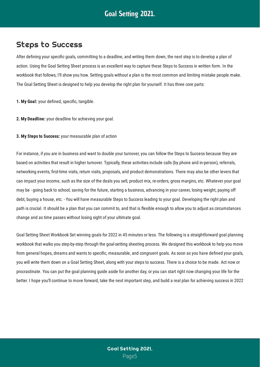#### Steps to Success

After defining your specific goals, committing to a deadline, and writing them down, the next step is to develop a plan of action. Using the Goal Setting Sheet process is an excellent way to capture these Steps to Success in written form. In the workbook that follows, I'll show you how. Setting goals without a plan is the most common and limiting mistake people make. The Goal Setting Sheet is designed to help you develop the right plan for yourself. It has three core parts:

1. My Goal: your defined, specific, tangible.

- **2. My Deadline:** your deadline for achieving your goal.
- **3. My Steps to Success:** your measurable plan of action

For instance, if you are in business and want to double your turnover, you can follow the Steps to Success because they are based on activities that result in higher turnover. Typically, these activities include calls (by phone and in-person), referrals, networking events, first-time visits, return visits, proposals, and product demonstrations. There may also be other levers that can impact your income, such as the size of the deals you sell, product mix, re-orders, gross margins, etc. Whatever your goal may be - going back to school, saving for the future, starting a business, advancing in your career, losing weight, paying off debt, buying a house, etc. - You will have measurable Steps to Success leading to your goal. Developing the right plan and path is crucial. It should be a plan that you can commit to, and that is flexible enough to allow you to adjust as circumstances change and as time passes without losing sight of your ultimate goal.

Goal Setting Sheet Workbook Set winning goals for 2022 in 45 minutes or less. The following is a straightforward goal planning workbook that walks you step-by-step through the goal-setting sheeting process. We designed this workbook to help you move from general hopes, dreams and wants to specific, measurable, and congruent goals. As soon as you have defined your goals, you will write them down on a Goal Setting Sheet, along with your steps to success. There is a choice to be made. Act now or procrastinate. You can put the goal planning guide aside for another day, or you can start right now changing your life for the better. I hope you'll continue to move forward, take the next important step, and build a real plan for achieving success in 2022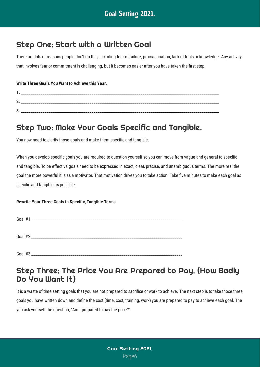# Step One: Start with a Written Goal

There are lots of reasons people don't do this, including fear of failure, procrastination, lack of tools or knowledge. Any activity that involves fear or commitment is challenging, but it becomes easier after you have taken the first step.

#### **Write Three Goals You Want to Achieve this Year.**

| v. |  |
|----|--|

#### Step Two: Make Your Goals Specific and Tangible.

You now need to clarify those goals and make them specific and tangible.

When you develop specific goals you are required to question yourself so you can move from vague and general to specific and tangible. To be effective goals need to be expressed in exact, clear, precise, and unambiguous terms. The more real the goal the more powerful it is as a motivator. That motivation drives you to take action. Take five minutes to make each goal as specific and tangible as possible.

#### **Rewrite Your Three Goals in Specific, Tangible Terms**

Goal #1 \_\_\_\_\_\_\_\_\_\_\_\_\_\_\_\_\_\_\_\_\_\_\_\_\_\_\_\_\_\_\_\_\_\_\_\_\_\_\_\_\_\_\_\_\_\_\_\_\_\_\_\_\_\_\_\_\_\_\_\_\_\_\_\_\_\_\_\_\_\_\_\_\_\_\_\_\_

Goal  $#2$ 

Goal #3 \_\_\_\_\_\_\_\_\_\_\_\_\_\_\_\_\_\_\_\_\_\_\_\_\_\_\_\_\_\_\_\_\_\_\_\_\_\_\_\_\_\_\_\_\_\_\_\_\_\_\_\_\_\_\_\_\_\_\_\_\_\_\_\_\_\_\_\_\_\_\_\_\_\_\_\_\_

#### Step Three: The Price You Are Prepared to Pay. (How Badly Do You Want It)

It is a waste of time setting goals that you are not prepared to sacrifice or work to achieve. The next step is to take those three goals you have written down and define the cost (time, cost, training, work) you are prepared to pay to achieve each goal. The you ask yourself the question, "Am I prepared to pay the price?".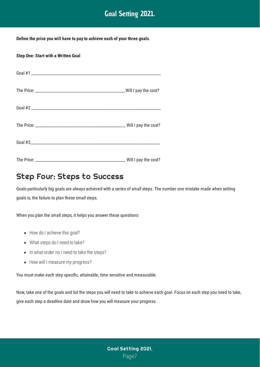Define the price you will have to pay to achieve each of your three goals.

**Step One: Start with a Written Goal**

#### Step Four: Steps to Success

Goals particularly big goals are always achieved with a series of small steps. The number one mistake made when setting goals is, the failure to plan these small steps.

When you plan the small steps, it helps you answer these questions:

- How do I achieve this goal?
- What steps do I need to take?
- In what order no I need to take the steps?
- How will I measure my progress?

You must make each step specific, attainable, time sensitive and measurable.

Now, take one of the goals and list the steps you will need to take to achieve each goal. Focus on each step you need to take, give each step a deadline date and show how you will measure your progress.

> Page7 Goal Setting 2021.